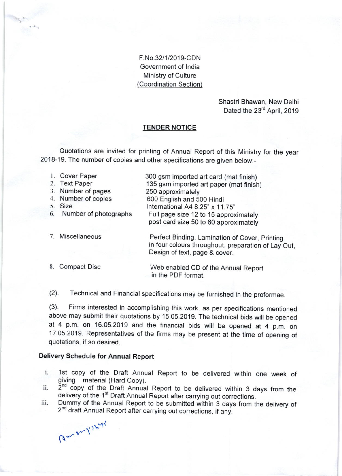F.No.32l1/2019-CDN Government of lndia Ministry of Culture (Coordination Section)

> Shastri Bhawan, New Delhi Dated the 23<sup>rd</sup> April, 2019

### TENDER NOTICE

Quotations are invited for printing of Annual Report of this Ministry for the year 2018-19. The number of copies and other specifications are given below:-

|    | 1. Cover Paper        | 300 gsm imported art card (mat finish)                                                                                                 |
|----|-----------------------|----------------------------------------------------------------------------------------------------------------------------------------|
|    | 2. Text Paper         | 135 gsm imported art paper (mat finish)                                                                                                |
|    | 3. Number of pages    | 250 approximately                                                                                                                      |
|    | 4. Number of copies   | 600 English and 500 Hindi                                                                                                              |
|    | 5. Size               | International A4 8.25" x 11.75"                                                                                                        |
| 6. | Number of photographs | Full page size 12 to 15 approximately                                                                                                  |
|    |                       | post card size 50 to 60 approximately                                                                                                  |
|    | 7. Miscellaneous      | Perfect Binding, Lamination of Cover, Printing<br>in four colours throughout, preparation of Lay Out,<br>Design of text, page & cover. |
| 8. | Compact Disc          | Web enabled CD of the Annual Report<br>in the PDF format.                                                                              |

(2). Technical and Financial specifications may be furnished in the proformae.

(3). Firms interested in accomplishing this work, as per specifications mentioned above may submit their quotations by 15.05.2019. The technical bids will be opened at 4 p.m. on 16.05.2019 and the financial bids will be opened at 4 p.m. on 17.05.2019. Representatives of the firms may be present at the time of opening of quotations, if so desired.

#### Delivery Schedule for Annual Report

- i. 1st copy of the Draft Annual Report to be delivered within one week of giving material (Hard Copy).<br>ii.  $2^{nd}$  copy of the-Draft Annual Report to be delivered within 3 days from the delivery of the 1<sup>st</sup> Draft Annual R
- 
- iii. Dummy of the Annual Report to be submitted within 3 days from the delivery of 2<sup>nd</sup> draft Annual Report after carrying out corrections, if any.

 $r^{\prime}$  $\sim$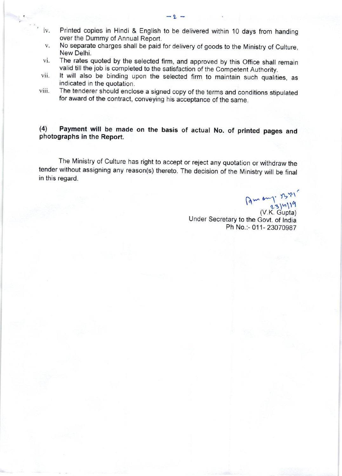iv. Printed copies in Hindi & English to be delivered within 1O days from handing over the Dummy of Annual Report.

 $-9$ 

- No separate charges shall be paid for delivery of goods to the Ministry of Culture, V. New Delhi.
- The rates quoted by the selected firm, and approved by this Office shall remain vi. valid till the job is completed to the satisfaction of the Competent Authority.
- It will also be binding upon the selected firm to maintain such qualities, as vii. indicated in the quotation.
- The tenderer should enclose a signed copy of the terms and conditions stipulated viii. for award of the contract, conveying his acceptance of the same.

# (4) Payment will be made on the basis of actual No. of printed pages and photographs in the Report.

The Ministry of Culture has right to accept or reject any quotation or withdraw the tender without assigning any reason(s) thereto. The decision of the Ministry will be finat in this regard.

 $\int (2 \pi)^n \frac{1}{2} \frac{3}{n}$ 

(V.K. Gupta) Under Secretary to the Govt. of lndia Ph No.:- 011- 23070987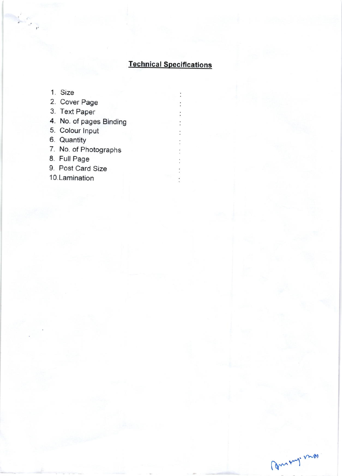### **Technical Specifications**

- 1. Size
- 2. Cover Page
- 3. Text Paper
- 4. No. of pages Binding
- 5. Colour Input
- 6. Quantity
- 7. No. of Photographs
- 8. Full Page
- 9. Post Card Size

10.Lamination

Commy nos